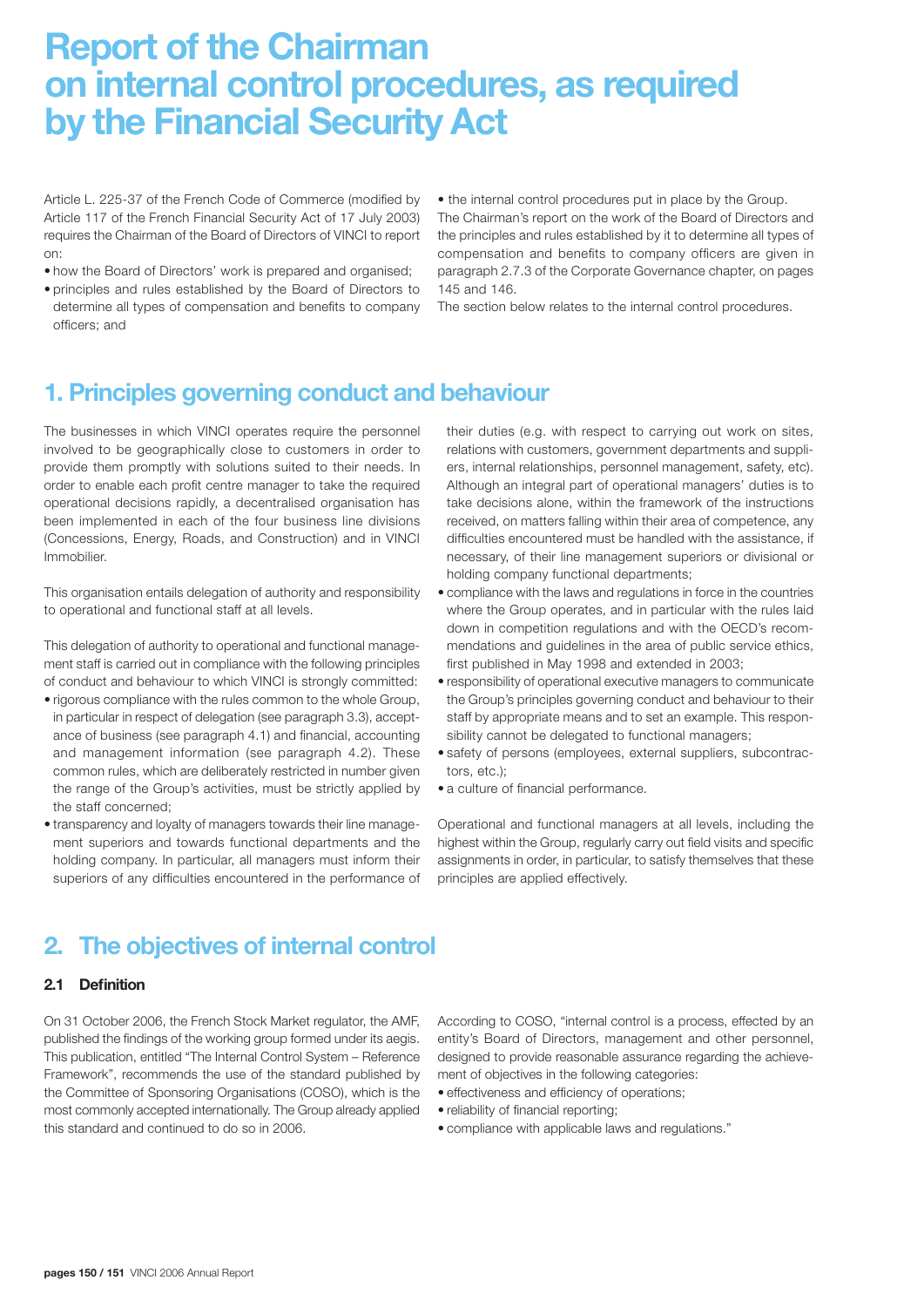# **Report of the Chairman on internal control procedures, as required by the Financial Security Act**

Article L. 225-37 of the French Code of Commerce (modified by Article 117 of the French Financial Security Act of 17 July 2003) requires the Chairman of the Board of Directors of VINCI to report on:

- how the Board of Directors' work is prepared and organised;
- principles and rules established by the Board of Directors to determine all types of compensation and benefits to company officers; and

• the internal control procedures put in place by the Group.

The Chairman's report on the work of the Board of Directors and the principles and rules established by it to determine all types of compensation and benefits to company officers are given in paragraph 2.7.3 of the Corporate Governance chapter, on pages 145 and 146.

The section below relates to the internal control procedures.

## **1. Principles governing conduct and behaviour**

The businesses in which VINCI operates require the personnel involved to be geographically close to customers in order to provide them promptly with solutions suited to their needs. In order to enable each profit centre manager to take the required operational decisions rapidly, a decentralised organisation has been implemented in each of the four business line divisions (Concessions, Energy, Roads, and Construction) and in VINCI Immobilier.

This organisation entails delegation of authority and responsibility to operational and functional staff at all levels.

This delegation of authority to operational and functional management staff is carried out in compliance with the following principles of conduct and behaviour to which VINCI is strongly committed:

- rigorous compliance with the rules common to the whole Group, in particular in respect of delegation (see paragraph 3.3), acceptance of business (see paragraph 4.1) and financial, accounting and management information (see paragraph 4.2). These common rules, which are deliberately restricted in number given the range of the Group's activities, must be strictly applied by the staff concerned;
- transparency and loyalty of managers towards their line management superiors and towards functional departments and the holding company. In particular, all managers must inform their superiors of any difficulties encountered in the performance of

their duties (e.g. with respect to carrying out work on sites, relations with customers, government departments and suppliers, internal relationships, personnel management, safety, etc). Although an integral part of operational managers' duties is to take decisions alone, within the framework of the instructions received, on matters falling within their area of competence, any difficulties encountered must be handled with the assistance, if necessary, of their line management superiors or divisional or holding company functional departments;

- compliance with the laws and regulations in force in the countries where the Group operates, and in particular with the rules laid down in competition regulations and with the OECD's recommendations and guidelines in the area of public service ethics, first published in May 1998 and extended in 2003;
- responsibility of operational executive managers to communicate the Group's principles governing conduct and behaviour to their staff by appropriate means and to set an example. This responsibility cannot be delegated to functional managers;
- safety of persons (employees, external suppliers, subcontractors, etc.);
- a culture of financial performance.

Operational and functional managers at all levels, including the highest within the Group, regularly carry out field visits and specific assignments in order, in particular, to satisfy themselves that these principles are applied effectively.

# **2. The objectives of internal control**

#### **2.1 Definition**

On 31 October 2006, the French Stock Market regulator, the AMF, published the findings of the working group formed under its aegis. This publication, entitled "The Internal Control System – Reference Framework", recommends the use of the standard published by the Committee of Sponsoring Organisations (COSO), which is the most commonly accepted internationally. The Group already applied this standard and continued to do so in 2006.

According to COSO, "internal control is a process, effected by an entity's Board of Directors, management and other personnel, designed to provide reasonable assurance regarding the achievement of objectives in the following categories:

- effectiveness and efficiency of operations;
- reliability of financial reporting;
- compliance with applicable laws and regulations."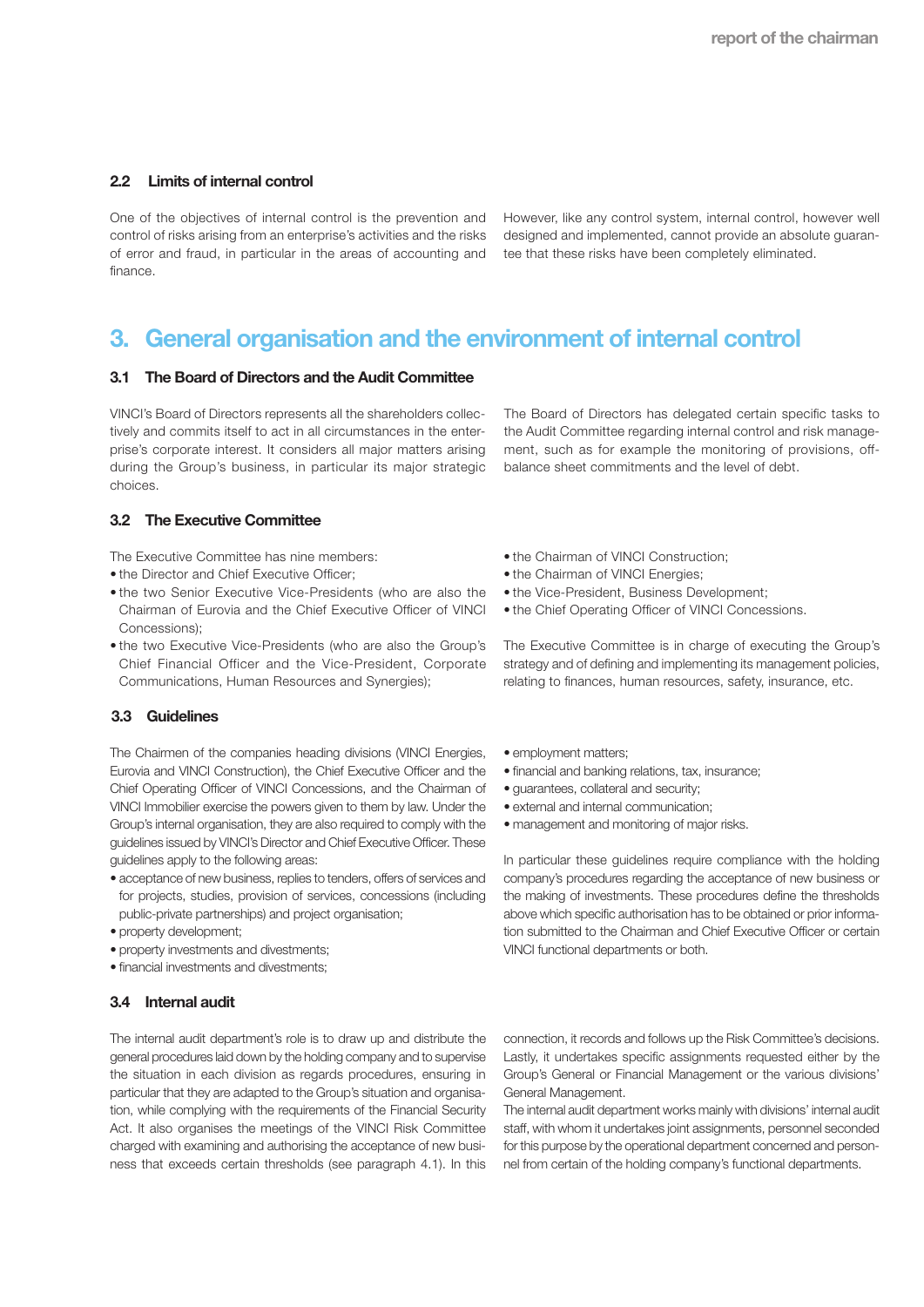#### **2.2 Limits of internal control**

One of the objectives of internal control is the prevention and control of risks arising from an enterprise's activities and the risks of error and fraud, in particular in the areas of accounting and finance.

However, like any control system, internal control, however well designed and implemented, cannot provide an absolute guarantee that these risks have been completely eliminated.

## **3. General organisation and the environment of internal control**

#### **3.1 The Board of Directors and the Audit Committee**

VINCI's Board of Directors represents all the shareholders collectively and commits itself to act in all circumstances in the enterprise's corporate interest. It considers all major matters arising during the Group's business, in particular its major strategic choices.

#### **3.2 The Executive Committee**

The Executive Committee has nine members:

- the Director and Chief Executive Officer:
- the two Senior Executive Vice-Presidents (who are also the Chairman of Eurovia and the Chief Executive Officer of VINCI Concessions);
- the two Executive Vice-Presidents (who are also the Group's Chief Financial Officer and the Vice-President, Corporate Communications, Human Resources and Synergies);

#### **3.3 Guidelines**

The Chairmen of the companies heading divisions (VINCI Energies, Eurovia and VINCI Construction), the Chief Executive Officer and the Chief Operating Officer of VINCI Concessions, and the Chairman of VINCI Immobilier exercise the powers given to them by law. Under the Group's internal organisation, they are also required to comply with the guidelines issued by VINCI's Director and Chief Executive Officer. These guidelines apply to the following areas:

- acceptance of new business, replies to tenders, offers of services and for projects, studies, provision of services, concessions (including public-private partnerships) and project organisation;
- property development;
- property investments and divestments;
- financial investments and divestments;

#### **3.4 Internal audit**

The internal audit department's role is to draw up and distribute the general procedures laid down by the holding company and to supervise the situation in each division as regards procedures, ensuring in particular that they are adapted to the Group's situation and organisation, while complying with the requirements of the Financial Security Act. It also organises the meetings of the VINCI Risk Committee charged with examining and authorising the acceptance of new business that exceeds certain thresholds (see paragraph 4.1). In this

The Board of Directors has delegated certain specific tasks to the Audit Committee regarding internal control and risk management, such as for example the monitoring of provisions, offbalance sheet commitments and the level of debt.

- the Chairman of VINCI Construction;
- the Chairman of VINCI Energies;
- the Vice-President, Business Development;
- the Chief Operating Officer of VINCI Concessions.

The Executive Committee is in charge of executing the Group's strategy and of defining and implementing its management policies, relating to finances, human resources, safety, insurance, etc.

- employment matters;
- financial and banking relations, tax, insurance;
- guarantees, collateral and security;
- external and internal communication;
- management and monitoring of major risks.

In particular these guidelines require compliance with the holding company's procedures regarding the acceptance of new business or the making of investments. These procedures define the thresholds above which specific authorisation has to be obtained or prior information submitted to the Chairman and Chief Executive Officer or certain VINCI functional departments or both.

connection, it records and follows up the Risk Committee's decisions. Lastly, it undertakes specific assignments requested either by the Group's General or Financial Management or the various divisions' General Management.

The internal audit department works mainly with divisions' internal audit staff, with whom it undertakes joint assignments, personnel seconded for this purpose by the operational department concerned and personnel from certain of the holding company's functional departments.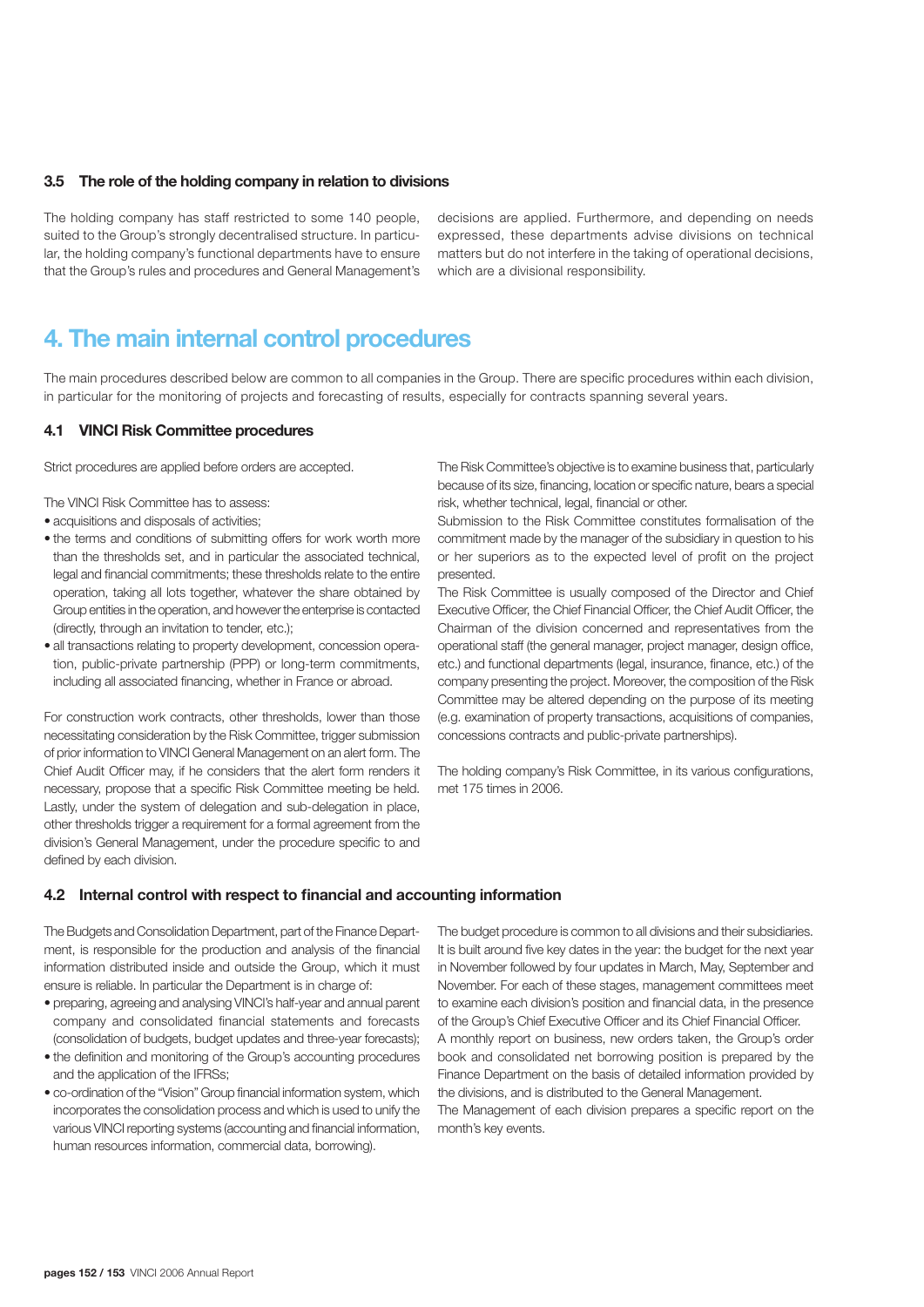#### **3.5 The role of the holding company in relation to divisions**

The holding company has staff restricted to some 140 people, suited to the Group's strongly decentralised structure. In particular, the holding company's functional departments have to ensure that the Group's rules and procedures and General Management's

decisions are applied. Furthermore, and depending on needs expressed, these departments advise divisions on technical matters but do not interfere in the taking of operational decisions, which are a divisional responsibility.

## **4. The main internal control procedures**

The main procedures described below are common to all companies in the Group. There are specific procedures within each division, in particular for the monitoring of projects and forecasting of results, especially for contracts spanning several years.

#### **4.1 VINCI Risk Committee procedures**

Strict procedures are applied before orders are accepted.

The VINCI Risk Committee has to assess:

- acquisitions and disposals of activities;
- the terms and conditions of submitting offers for work worth more than the thresholds set, and in particular the associated technical, legal and financial commitments; these thresholds relate to the entire operation, taking all lots together, whatever the share obtained by Group entities in the operation, and however the enterprise is contacted (directly, through an invitation to tender, etc.);
- all transactions relating to property development, concession operation, public-private partnership (PPP) or long-term commitments, including all associated financing, whether in France or abroad.

For construction work contracts, other thresholds, lower than those necessitating consideration by the Risk Committee, trigger submission of prior information to VINCI General Management on an alert form. The Chief Audit Officer may, if he considers that the alert form renders it necessary, propose that a specific Risk Committee meeting be held. Lastly, under the system of delegation and sub-delegation in place, other thresholds trigger a requirement for a formal agreement from the division's General Management, under the procedure specific to and defined by each division.

The Risk Committee's objective is to examine business that, particularly because of its size, financing, location or specific nature, bears a special risk, whether technical, legal, financial or other.

Submission to the Risk Committee constitutes formalisation of the commitment made by the manager of the subsidiary in question to his or her superiors as to the expected level of profit on the project presented.

The Risk Committee is usually composed of the Director and Chief Executive Officer, the Chief Financial Officer, the Chief Audit Officer, the Chairman of the division concerned and representatives from the operational staff (the general manager, project manager, design office, etc.) and functional departments (legal, insurance, finance, etc.) of the company presenting the project. Moreover, the composition of the Risk Committee may be altered depending on the purpose of its meeting (e.g. examination of property transactions, acquisitions of companies, concessions contracts and public-private partnerships).

The holding company's Risk Committee, in its various configurations, met 175 times in 2006.

#### **4.2 Internal control with respect to financial and accounting information**

The Budgets and Consolidation Department, part of the Finance Department, is responsible for the production and analysis of the financial information distributed inside and outside the Group, which it must ensure is reliable. In particular the Department is in charge of:

- preparing, agreeing and analysing VINCI's half-year and annual parent company and consolidated financial statements and forecasts (consolidation of budgets, budget updates and three-year forecasts);
- the definition and monitoring of the Group's accounting procedures and the application of the IFRSs;
- co-ordination of the "Vision" Group financial information system, which incorporates the consolidation process and which is used to unify the various VINCI reporting systems (accounting and financial information, human resources information, commercial data, borrowing).

The budget procedure is common to all divisions and their subsidiaries. It is built around five key dates in the year: the budget for the next year in November followed by four updates in March, May, September and November. For each of these stages, management committees meet to examine each division's position and financial data, in the presence of the Group's Chief Executive Officer and its Chief Financial Officer.

A monthly report on business, new orders taken, the Group's order book and consolidated net borrowing position is prepared by the Finance Department on the basis of detailed information provided by the divisions, and is distributed to the General Management.

The Management of each division prepares a specific report on the month's key events.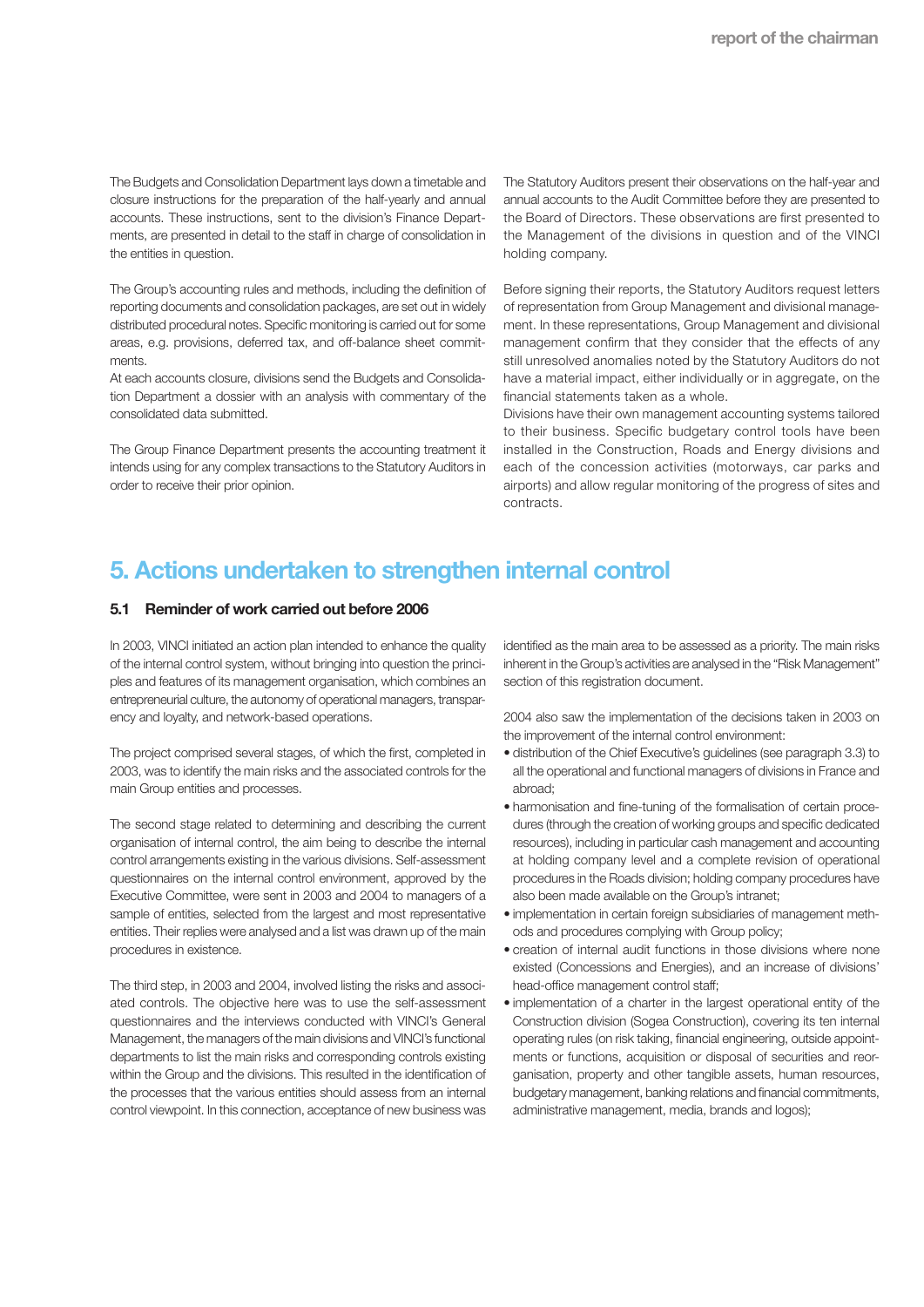The Budgets and Consolidation Department lays down a timetable and closure instructions for the preparation of the half-yearly and annual accounts. These instructions, sent to the division's Finance Departments, are presented in detail to the staff in charge of consolidation in the entities in question.

The Group's accounting rules and methods, including the definition of reporting documents and consolidation packages, are set out in widely distributed procedural notes. Specific monitoring is carried out for some areas, e.g. provisions, deferred tax, and off-balance sheet commitments.

At each accounts closure, divisions send the Budgets and Consolidation Department a dossier with an analysis with commentary of the consolidated data submitted.

The Group Finance Department presents the accounting treatment it intends using for any complex transactions to the Statutory Auditors in order to receive their prior opinion.

The Statutory Auditors present their observations on the half-year and annual accounts to the Audit Committee before they are presented to the Board of Directors. These observations are first presented to the Management of the divisions in question and of the VINCI holding company.

Before signing their reports, the Statutory Auditors request letters of representation from Group Management and divisional management. In these representations, Group Management and divisional management confirm that they consider that the effects of any still unresolved anomalies noted by the Statutory Auditors do not have a material impact, either individually or in aggregate, on the financial statements taken as a whole.

Divisions have their own management accounting systems tailored to their business. Specific budgetary control tools have been installed in the Construction, Roads and Energy divisions and each of the concession activities (motorways, car parks and airports) and allow regular monitoring of the progress of sites and contracts.

# **5. Actions undertaken to strengthen internal control**

#### **5.1 Reminder of work carried out before 2006**

In 2003, VINCI initiated an action plan intended to enhance the quality of the internal control system, without bringing into question the principles and features of its management organisation, which combines an entrepreneurial culture, the autonomy of operational managers, transparency and loyalty, and network-based operations.

The project comprised several stages, of which the first, completed in 2003, was to identify the main risks and the associated controls for the main Group entities and processes.

The second stage related to determining and describing the current organisation of internal control, the aim being to describe the internal control arrangements existing in the various divisions. Self-assessment questionnaires on the internal control environment, approved by the Executive Committee, were sent in 2003 and 2004 to managers of a sample of entities, selected from the largest and most representative entities. Their replies were analysed and a list was drawn up of the main procedures in existence.

The third step, in 2003 and 2004, involved listing the risks and associated controls. The objective here was to use the self-assessment questionnaires and the interviews conducted with VINCI's General Management, the managers of the main divisions and VINCI's functional departments to list the main risks and corresponding controls existing within the Group and the divisions. This resulted in the identification of the processes that the various entities should assess from an internal control viewpoint. In this connection, acceptance of new business was

identified as the main area to be assessed as a priority. The main risks inherent in the Group's activities are analysed in the "Risk Management" section of this registration document.

2004 also saw the implementation of the decisions taken in 2003 on the improvement of the internal control environment:

- distribution of the Chief Executive's guidelines (see paragraph 3.3) to all the operational and functional managers of divisions in France and abroad;
- harmonisation and fine-tuning of the formalisation of certain procedures (through the creation of working groups and specific dedicated resources), including in particular cash management and accounting at holding company level and a complete revision of operational procedures in the Roads division; holding company procedures have also been made available on the Group's intranet;
- implementation in certain foreign subsidiaries of management methods and procedures complying with Group policy;
- creation of internal audit functions in those divisions where none existed (Concessions and Energies), and an increase of divisions' head-office management control staff;
- implementation of a charter in the largest operational entity of the Construction division (Sogea Construction), covering its ten internal operating rules (on risk taking, financial engineering, outside appointments or functions, acquisition or disposal of securities and reorganisation, property and other tangible assets, human resources, budgetary management, banking relations and financial commitments, administrative management, media, brands and logos);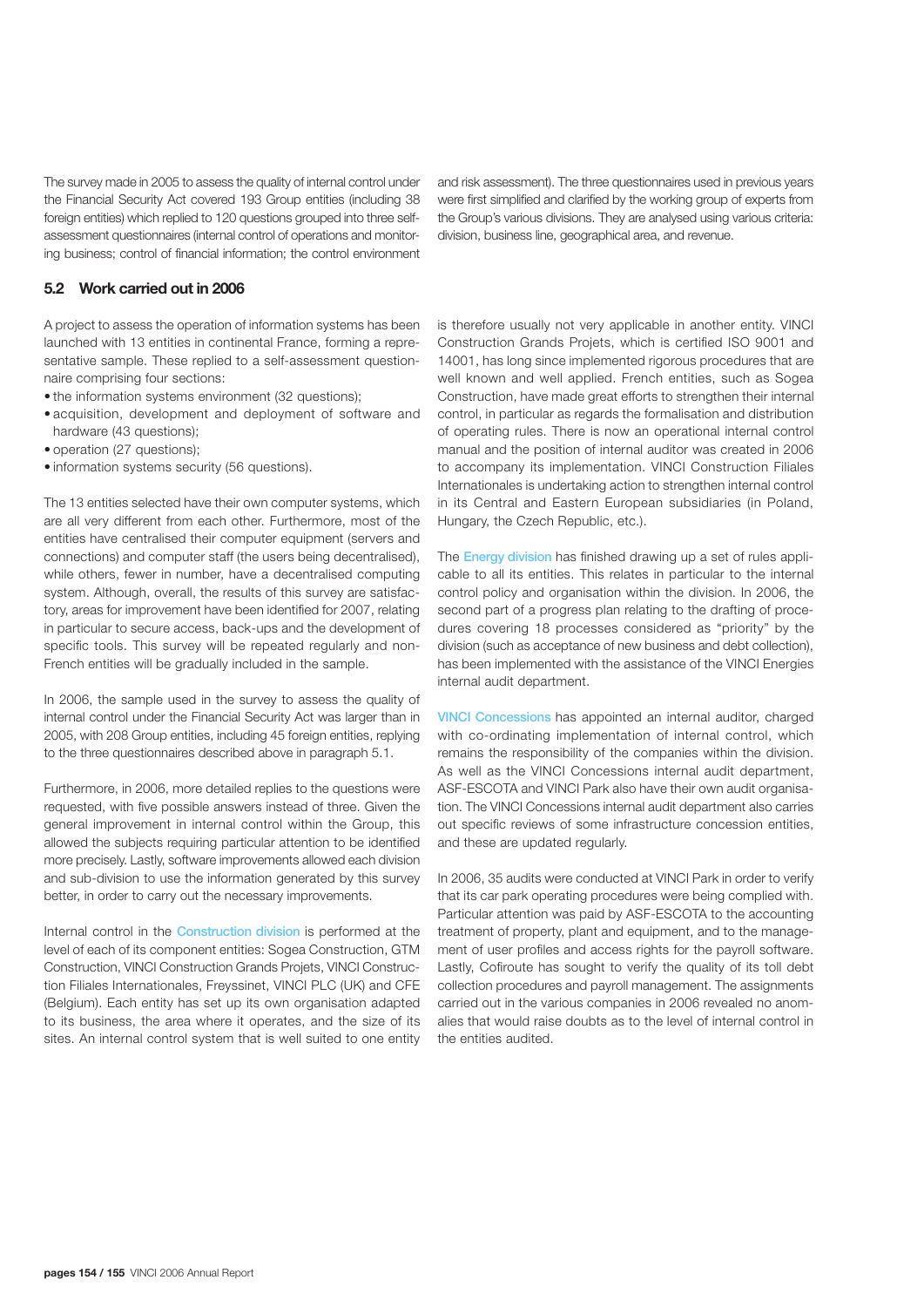The survey made in 2005 to assess the quality of internal control under the Financial Security Act covered 193 Group entities (including 38 foreign entities) which replied to 120 questions grouped into three selfassessment questionnaires (internal control of operations and monitoring business; control of financial information; the control environment

and risk assessment). The three questionnaires used in previous years were first simplified and clarified by the working group of experts from the Group's various divisions. They are analysed using various criteria: division, business line, geographical area, and revenue.

#### **5.2 Work carried out in 2006**

A project to assess the operation of information systems has been launched with 13 entities in continental France, forming a representative sample. These replied to a self-assessment questionnaire comprising four sections:

- the information systems environment (32 questions);
- acquisition, development and deployment of software and hardware (43 questions);
- operation (27 questions);
- information systems security (56 questions).

The 13 entities selected have their own computer systems, which are all very different from each other. Furthermore, most of the entities have centralised their computer equipment (servers and connections) and computer staff (the users being decentralised), while others, fewer in number, have a decentralised computing system. Although, overall, the results of this survey are satisfactory, areas for improvement have been identified for 2007, relating in particular to secure access, back-ups and the development of specific tools. This survey will be repeated regularly and non-French entities will be gradually included in the sample.

In 2006, the sample used in the survey to assess the quality of internal control under the Financial Security Act was larger than in 2005, with 208 Group entities, including 45 foreign entities, replying to the three questionnaires described above in paragraph 5.1.

Furthermore, in 2006, more detailed replies to the questions were requested, with five possible answers instead of three. Given the general improvement in internal control within the Group, this allowed the subjects requiring particular attention to be identified more precisely. Lastly, software improvements allowed each division and sub-division to use the information generated by this survey better, in order to carry out the necessary improvements.

Internal control in the Construction division is performed at the level of each of its component entities: Sogea Construction, GTM Construction, VINCI Construction Grands Projets, VINCI Construction Filiales Internationales, Freyssinet, VINCI PLC (UK) and CFE (Belgium). Each entity has set up its own organisation adapted to its business, the area where it operates, and the size of its sites. An internal control system that is well suited to one entity is therefore usually not very applicable in another entity. VINCI Construction Grands Projets, which is certified ISO 9001 and 14001, has long since implemented rigorous procedures that are well known and well applied. French entities, such as Sogea Construction, have made great efforts to strengthen their internal control, in particular as regards the formalisation and distribution of operating rules. There is now an operational internal control manual and the position of internal auditor was created in 2006 to accompany its implementation. VINCI Construction Filiales Internationales is undertaking action to strengthen internal control in its Central and Eastern European subsidiaries (in Poland, Hungary, the Czech Republic, etc.).

The **Energy division** has finished drawing up a set of rules applicable to all its entities. This relates in particular to the internal control policy and organisation within the division. In 2006, the second part of a progress plan relating to the drafting of procedures covering 18 processes considered as "priority" by the division (such as acceptance of new business and debt collection), has been implemented with the assistance of the VINCI Energies internal audit department.

VINCI Concessions has appointed an internal auditor, charged with co-ordinating implementation of internal control, which remains the responsibility of the companies within the division. As well as the VINCI Concessions internal audit department, ASF-ESCOTA and VINCI Park also have their own audit organisation. The VINCI Concessions internal audit department also carries out specific reviews of some infrastructure concession entities, and these are updated regularly.

In 2006, 35 audits were conducted at VINCI Park in order to verify that its car park operating procedures were being complied with. Particular attention was paid by ASF-ESCOTA to the accounting treatment of property, plant and equipment, and to the management of user profiles and access rights for the payroll software. Lastly, Cofiroute has sought to verify the quality of its toll debt collection procedures and payroll management. The assignments carried out in the various companies in 2006 revealed no anomalies that would raise doubts as to the level of internal control in the entities audited.